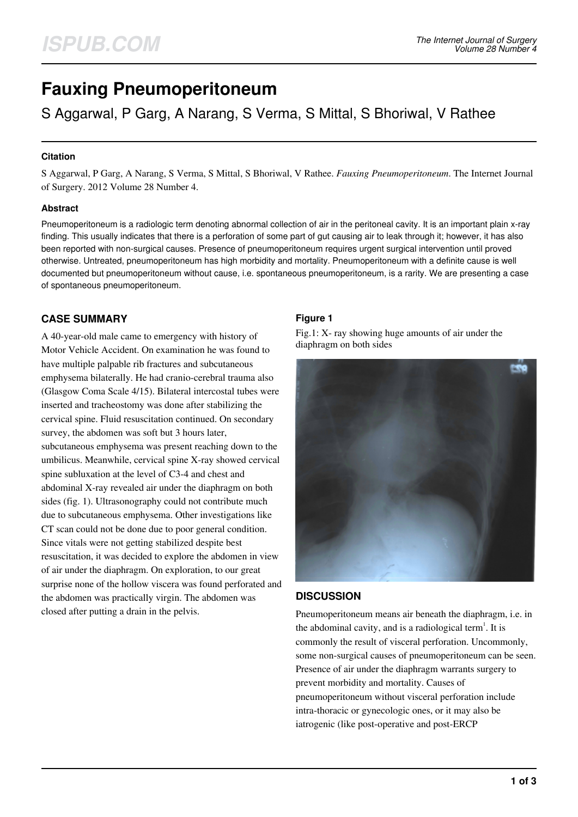# **Fauxing Pneumoperitoneum**

S Aggarwal, P Garg, A Narang, S Verma, S Mittal, S Bhoriwal, V Rathee

### **Citation**

S Aggarwal, P Garg, A Narang, S Verma, S Mittal, S Bhoriwal, V Rathee. *Fauxing Pneumoperitoneum*. The Internet Journal of Surgery. 2012 Volume 28 Number 4.

### **Abstract**

Pneumoperitoneum is a radiologic term denoting abnormal collection of air in the peritoneal cavity. It is an important plain x-ray finding. This usually indicates that there is a perforation of some part of gut causing air to leak through it; however, it has also been reported with non-surgical causes. Presence of pneumoperitoneum requires urgent surgical intervention until proved otherwise. Untreated, pneumoperitoneum has high morbidity and mortality. Pneumoperitoneum with a definite cause is well documented but pneumoperitoneum without cause, i.e. spontaneous pneumoperitoneum, is a rarity. We are presenting a case of spontaneous pneumoperitoneum.

## **CASE SUMMARY**

A 40-year-old male came to emergency with history of Motor Vehicle Accident. On examination he was found to have multiple palpable rib fractures and subcutaneous emphysema bilaterally. He had cranio-cerebral trauma also (Glasgow Coma Scale 4/15). Bilateral intercostal tubes were inserted and tracheostomy was done after stabilizing the cervical spine. Fluid resuscitation continued. On secondary survey, the abdomen was soft but 3 hours later, subcutaneous emphysema was present reaching down to the umbilicus. Meanwhile, cervical spine X-ray showed cervical spine subluxation at the level of C3-4 and chest and abdominal X-ray revealed air under the diaphragm on both sides (fig. 1). Ultrasonography could not contribute much due to subcutaneous emphysema. Other investigations like CT scan could not be done due to poor general condition. Since vitals were not getting stabilized despite best resuscitation, it was decided to explore the abdomen in view of air under the diaphragm. On exploration, to our great surprise none of the hollow viscera was found perforated and the abdomen was practically virgin. The abdomen was closed after putting a drain in the pelvis.

## **Figure 1**

Fig.1: X- ray showing huge amounts of air under the diaphragm on both sides



## **DISCUSSION**

Pneumoperitoneum means air beneath the diaphragm, i.e. in the abdominal cavity, and is a radiological term<sup>1</sup>. It is commonly the result of visceral perforation. Uncommonly, some non-surgical causes of pneumoperitoneum can be seen. Presence of air under the diaphragm warrants surgery to prevent morbidity and mortality. Causes of pneumoperitoneum without visceral perforation include intra-thoracic or gynecologic ones, or it may also be iatrogenic (like post-operative and post-ERCP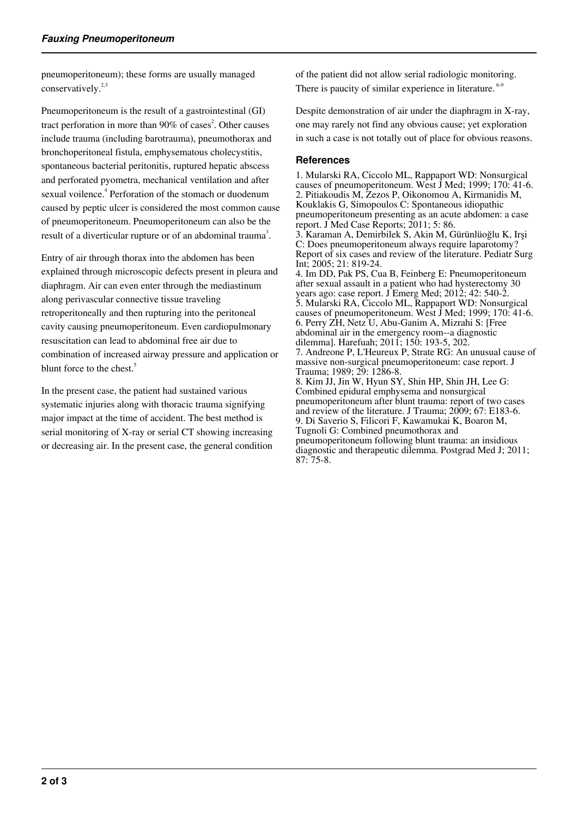pneumoperitoneum); these forms are usually managed conservatively.<sup>2,3</sup>

Pneumoperitoneum is the result of a gastrointestinal (GI) tract perforation in more than  $90\%$  of cases<sup>2</sup>. Other causes include trauma (including barotrauma), pneumothorax and bronchoperitoneal fistula, emphysematous cholecystitis, spontaneous bacterial peritonitis, ruptured hepatic abscess and perforated pyometra, mechanical ventilation and after sexual voilence.<sup>4</sup> Perforation of the stomach or duodenum caused by peptic ulcer is considered the most common cause of pneumoperitoneum. Pneumoperitoneum can also be the result of a diverticular rupture or of an abdominal trauma<sup>3</sup>.

Entry of air through thorax into the abdomen has been explained through microscopic defects present in pleura and diaphragm. Air can even enter through the mediastinum along perivascular connective tissue traveling retroperitoneally and then rupturing into the peritoneal cavity causing pneumoperitoneum. Even cardiopulmonary resuscitation can lead to abdominal free air due to combination of increased airway pressure and application or blunt force to the chest.<sup>5</sup>

In the present case, the patient had sustained various systematic injuries along with thoracic trauma signifying major impact at the time of accident. The best method is serial monitoring of X-ray or serial CT showing increasing or decreasing air. In the present case, the general condition

of the patient did not allow serial radiologic monitoring. There is paucity of similar experience in literature. <sup>6-9</sup>

Despite demonstration of air under the diaphragm in X-ray, one may rarely not find any obvious cause; yet exploration in such a case is not totally out of place for obvious reasons.

#### **References**

1. Mularski RA, Ciccolo ML, Rappaport WD: Nonsurgical causes of pneumoperitoneum. West J Med; 1999; 170: 41-6. 2. Pitiakoudis M, Zezos P, Oikonomou A, Kirmanidis M, Kouklakis G, Simopoulos C: Spontaneous idiopathic pneumoperitoneum presenting as an acute abdomen: a case report. J Med Case Reports; 2011; 5: 86. 3. Karaman A, Demirbilek S, Akin M, Gürünlüoğlu K, Irşi C: Does pneumoperitoneum always require laparotomy? Report of six cases and review of the literature. Pediatr Surg Int; 2005; 21: 819-24. 4. Im DD, Pak PS, Cua B, Feinberg E: Pneumoperitoneum after sexual assault in a patient who had hysterectomy 30 years ago: case report. J Emerg Med; 2012; 42: 540-2. 5. Mularski RA, Ciccolo ML, Rappaport WD: Nonsurgical causes of pneumoperitoneum. West J Med; 1999; 170: 41-6. 6. Perry ZH, Netz U, Abu-Ganim A, Mizrahi S: [Free abdominal air in the emergency room--a diagnostic dilemma]. Harefuah; 2011; 150: 193-5, 202. 7. Andreone P, L'Heureux P, Strate RG: An unusual cause of massive non-surgical pneumoperitoneum: case report. J Trauma; 1989; 29: 1286-8. 8. Kim JJ, Jin W, Hyun SY, Shin HP, Shin JH, Lee G: Combined epidural emphysema and nonsurgical pneumoperitoneum after blunt trauma: report of two cases and review of the literature. J Trauma; 2009; 67: E183-6. 9. Di Saverio S, Filicori F, Kawamukai K, Boaron M, Tugnoli G: Combined pneumothorax and pneumoperitoneum following blunt trauma: an insidious diagnostic and therapeutic dilemma. Postgrad Med J; 2011; 87: 75-8.